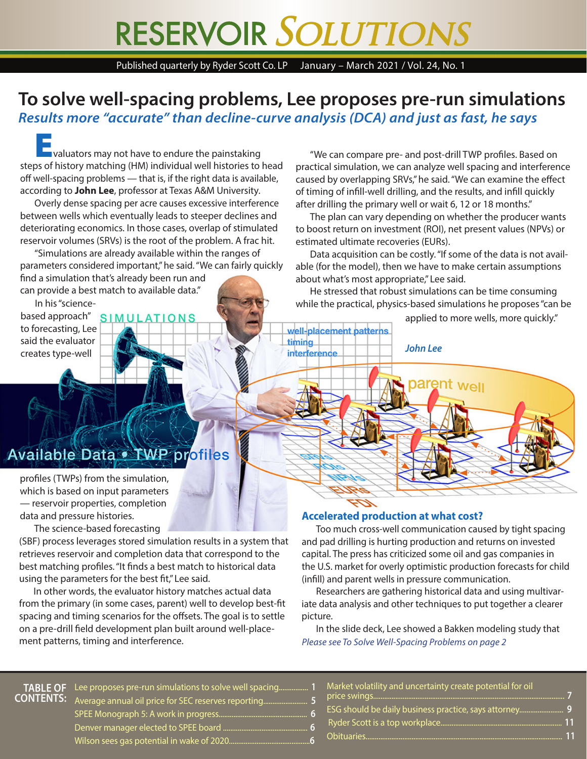# RESERVOIR SOLUTIONS

Published quarterly by Ryder Scott Co. LP January – March 2021 / Vol. 24, No. 1

### **To solve well-spacing problems, Lee proposes pre-run simulations** *Results more "accurate" than decline-curve analysis (DCA) and just as fast, he says*

**Evaluators may not have to endure the painstaking** steps of history matching (HM) individual well histories to head off well-spacing problems — that is, if the right data is available, according to **John Lee**, professor at Texas A&M University.

Overly dense spacing per acre causes excessive interference between wells which eventually leads to steeper declines and deteriorating economics. In those cases, overlap of stimulated reservoir volumes (SRVs) is the root of the problem. A frac hit.

"Simulations are already available within the ranges of parameters considered important," he said. "We can fairly quickly find a simulation that's already been run and can provide a best match to available data."

In his "sciencebased approach" SIMULATIONS to forecasting, Lee said the evaluator creates type-well

"We can compare pre- and post-drill TWP profiles. Based on practical simulation, we can analyze well spacing and interference caused by overlapping SRVs," he said. "We can examine the effect of timing of infill-well drilling, and the results, and infill quickly after drilling the primary well or wait 6, 12 or 18 months."

The plan can vary depending on whether the producer wants to boost return on investment (ROI), net present values (NPVs) or estimated ultimate recoveries (EURs).

Data acquisition can be costly. "If some of the data is not available (for the model), then we have to make certain assumptions about what's most appropriate," Lee said.

He stressed that robust simulations can be time consuming while the practical, physics-based simulations he proposes "can be

*John Lee*

parent <sub>Well</sub>

well-placement patterns

timing *interference*  applied to more wells, more quickly."

# **Available Data of WP profiles**

profiles (TWPs) from the simulation, which is based on input parameters — reservoir properties, completion data and pressure histories.

The science-based forecasting

(SBF) process leverages stored simulation results in a system that retrieves reservoir and completion data that correspond to the best matching profiles. "It finds a best match to historical data using the parameters for the best fit," Lee said.

In other words, the evaluator history matches actual data from the primary (in some cases, parent) well to develop best-fit spacing and timing scenarios for the offsets. The goal is to settle on a pre-drill field development plan built around well-placement patterns, timing and interference.

#### **Accelerated production at what cost?**

Too much cross-well communication caused by tight spacing and pad drilling is hurting production and returns on invested capital. The press has criticized some oil and gas companies in the U.S. market for overly optimistic production forecasts for child (infill) and parent wells in pressure communication.

Researchers are gathering historical data and using multivariate data analysis and other techniques to put together a clearer picture.

*Please see To Solve Well-Spacing Problems on page 2* In the slide deck, Lee showed a Bakken modeling study that

**TABLE OF** Lee proposes pre-run simulations to solve well spacing................ **1 CONTENTS:** Average annual oil price for SEC reserves reporting........................ **5** SPEE Monograph 5: A work in progress................................................ **6** Denver manager elected to SPEE board .............................................. **6** Wilson sees gas potential in wake of 2020............................................**6**

- Market volatility and uncertainty create potential for oil price swings....... ESG should be daily business practice, says attorney........................ **9** Ryder Scott is a top workplace.................................................................. **11**
- Obituaries........................................................................................................... **11**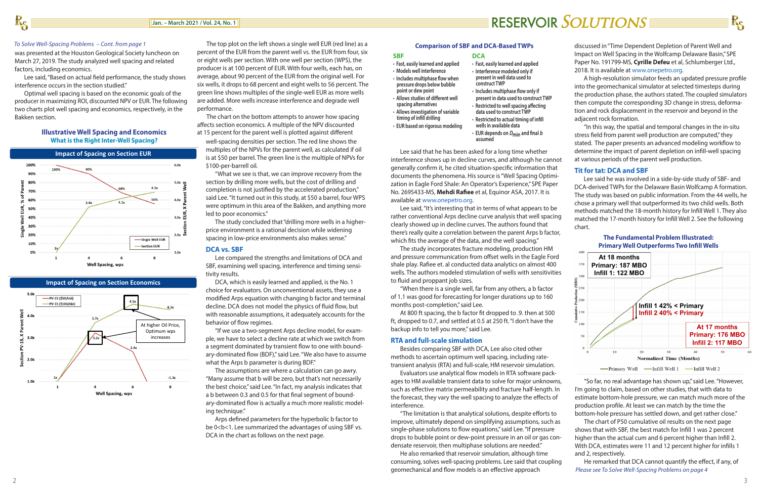#### *To Solve Well-Spacing Problems – Cont. from page 1*

Lee said that he has been asked for a long time whether interference shows up in decline curves, and although he cannot generally confirm it, he cited situation-specific information that documents the phenomena. His source is "Well Spacing Optimization in Eagle Ford Shale: An Operator's Experience," SPE Paper No. 2695433-MS, **Mehdi Rafiee** et al, Equinor ASA, 2017. It is available at www.onepetro.org.

Lee said, "It's interesting that in terms of what appears to be rather conventional Arps decline curve analysis that well spacing clearly showed up in decline curves. The authors found that there's really quite a correlation between the parent Arps b factor, which fits the average of the data, and the well spacing."

The study incorporates fracture modeling, production HM and pressure communication from offset wells in the Eagle Ford shale play. Rafiee et. al conducted data analytics on almost 400 wells. The authors modeled stimulation of wells with sensitivities to fluid and proppant job sizes.

"When there is a single well, far from any others, a b factor of 1.1 was good for forecasting for longer durations up to 160 months post-completion," said Lee.

**NG ECONOMICS** at is percent for the parent wents plotted against different of the Shows the Right Spacing densities per section. The red line shows the multiples of the NPVs for the parent well, as calculated if oil **Impact of Spacing on Section EUR Impact of Spacing on Section EUR Impact of Spacing on Section EUR Impact of Spacing on Section EUR Impact of Spacing on Section EUR Impact of Spacing of NPVs** for \$100-per-barrell oil.

> "What we see is that, we can improve recovery from the section by drilling more wells, but the cost of drilling and completion is not justified by the accelerated production," said Lee. "It turned out in this study, at \$50 a barrel, four WPS whe seems to this continuous category, in year when they can the seems of the Bakken, and anything more led to poor economics." inore

> > At 800 ft spacing, the b factor fit dropped to .9. then at 500 ft, dropped to 0.7, and settled at 0.5 at 250 ft. "I don't have the backup info to tell you more," said Lee.

#### **RTA and full-scale simulation**

Besides comparing SBF with DCA, Lee also cited other methods to ascertain optimum well spacing, including ratetransient analysis (RTA) and full-scale, HM reservoir simulation.

**External incredict in the Ultimately on Section Economics COL**, which is easily learned and applied, is the No. 1 **COL** and economic outcomes a choice for evaluators. On unconventional assets, they use a choice is most maximizes whatever objective is most maximizes whatever objective is most maximizes whatever objective is most maximizes wh modified Arps equation with changing b factor and terminal behavior of flow regimes.

> "If we use a two-segment Arps decline model, for examwhat the Arps b parameter is during BDF."

> > Evaluators use analytical flow models in RTA software packages to HM available transient data to solve for major unknowns, such as effective matrix permeability and fracture half-length. In the forecast, they vary the well spacing to analyze the effects of interference.

> > "The limitation is that analytical solutions, despite efforts to improve, ultimately depend on simplifying assumptions, such as single-phase solutions to flow equations," said Lee. "If pressure drops to bubble point or dew-point pressure in an oil or gas condensate reservoir, then multiphase solutions are needed."

> > He also remarked that reservoir simulation, although time consuming, solves well-spacing problems. Lee said that coupling geomechanical and flow models is an effective approach

# RESERVOIR SOLUTIONS

The study concluded that "drilling more wells in a higherprice environment is a rational decision while widening spacing in low-price environments also makes sense."

#### **DCA vs. SBF**

Lee compared the strengths and limitations of DCA and SBF, examining well spacing, interference and timing sensitivity results.

a b between 0.3 and 0.5 for that final segment of boundary-dominated flow is actually a much more realistic modeling technique."

Arps defined parameters for the hyperbolic b factor to be 0<bc>1. Lee summarized the advantages of using SBF vs. DCA in the chart as follows on the next page.

The top plot on the left shows a single well EUR (red line) as a percent of the EUR from the parent well vs. the EUR from four, six or eight wells per section. With one well per section (WPS), the producer is at 100 percent of EUR. With four wells, each has, on average, about 90 percent of the EUR from the original well. For six wells, it drops to 68 percent and eight wells to 56 percent. The green line shows multiples of the single-well EUR as more wells are added. More wells increase interference and degrade well performance.

The chart on the bottom attempts to answer how spacing Bakken section.<br>affects section economics. A multiple of the NPV discounted affects section economics. A multiple of the NPV discounted at 15 percent for the parent well is plotted against different

discussed in "Time Dependent Depletion of Parent Well and Impact on Well Spacing in the Wolfcamp Delaware Basin," SPE Paper No. 191799-MS, **Cyrille Defeu** et al, Schlumberger Ltd., 2018. It is available at www.onepetro.org.

A high-resolution simulator feeds an updated pressure profile into the geomechanical simulator at selected timesteps during the production phase, the authors stated. The coupled simulators then compute the corresponding 3D change in stress, deformation and rock displacement in the reservoir and beyond in the adjacent rock formation.

*Please see To Solve Well-Spacing Problems on page 4* He remarked that DCA cannot quantify the effect, if any, of

"In this way, the spatial and temporal changes in the in-situ stress field from parent well production are computed," they stated. The paper presents an advanced modeling workflow to determine the impact of parent depletion on infill-well spacing at various periods of the parent well production.

#### **Tit for tat: DCA and SBF**

 $\frac{1}{\pi}$   $\frac{1}{\pi}$ I**ITH THE STAN STAN STAND SET SEAL OF STANDING SEARCH STAND ISLAND IN THE FUNDAMENTAL PROBLEM ISLAM STANDAMENTAL PROBLEM IN A STANDAMENTAL PROBLEM IN A STANDAMENTAL PROBLEM IN A STANDAMENTAL PROBLEM IN A STANDAMENTAL PROBL** DCA-derived TWPs for the Delaware Basin Wolfcamp A formation. In ASA, 2017. It is The study was based on public information. From the 44 wells, he<br>chose a primary well that outperformed its two child wells. Both chose a primary well that outperformed its two child wells. Both methods matched the 18-month history for Infill Well 1. They also matched the 17-month history for Infill Well 2. See the following chart. **Primary:** 187 MBO<br>Contract to the set of the set of the set of the set of the set of the set of the set of the set of the set of the set of the set of the set of the set of the set of the set of the set of the set of the

was presented at the Houston Geological Society luncheon on March 27, 2019. The study analyzed well spacing and related factors, including economics.

 Lee said, "Based on actual field performance, the study shows interference occurs in the section studied."

 Optimal well spacing is based on the economic goals of the producer in maximizing ROI, discounted NPV or EUR. The following two charts plot well spacing and economics, respectively, in the





**Impact of Spacing on Section Economics** 

#### **Illustrative Well Spacing and Economics What is the Right Inter-Well Spacing?**

#### **Comparison of SBF and DCA-Based TWPs**

**SBF**

- **Fast, easily learned and applied**
- **Models well interference**

- **Includes multiphase flow when pressure drops below bubble point or dew point**
- **Allows studies of different well spacing alternatives**
- **Allows investigation of variable timing of infill drilling**
- **EUR based on rigorous modeling**

"So far, no real advantage has shown up," said Lee. "However, I'm going to claim, based on other studies, that with data to estimate bottom-hole pressure, we can match much more of the production profile. At least we can match by the time the bottom-hole pressure has settled down, and get rather close."

The chart of P50 cumulative oil results on the next page shows that with SBF, the best match for Infill 1 was 2 percent higher than the actual cum and 6 percent higher than Infill 2. With DCA, estimates were 11 and 12 percent higher for infills 1 and 2, respectively.



#### **DCA**

- **Fast, easily learned and applied**
- **Interference modeled only if present in well data used to**
- **construct TWP • Includes multiphase flow only if**
- **present in data used to construct TWP**
- **Restricted to well spacing affecting data used to construct TWP**
- **Restricted to actual timing of infill wells in available data**
- **EUR depends on Dmin and final <sup>b</sup> assumed**